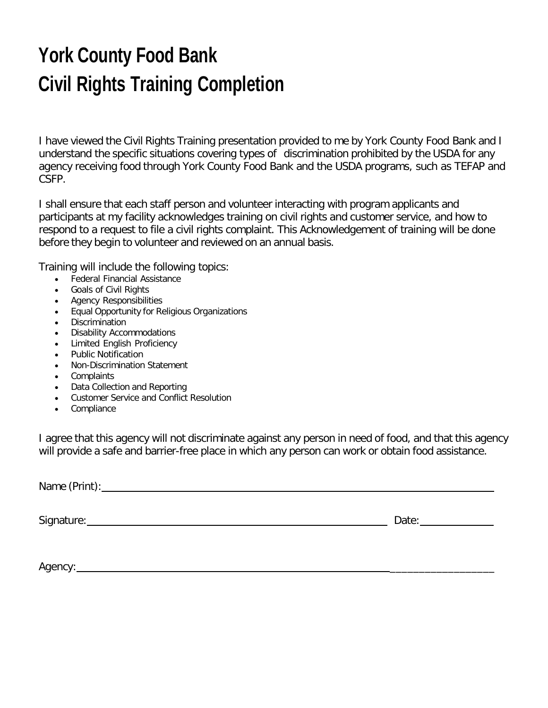## **York County Food Bank Civil Rights Training Completion**

I have viewed the Civil Rights Training presentation provided to me by York County Food Bank and I understand the specific situations covering types of discrimination prohibited by the USDA for any agency receiving food through York County Food Bank and the USDA programs, such as TEFAP and CSFP.

I shall ensure that each staff person and volunteer interacting with program applicants and participants at my facility acknowledges training on civil rights and customer service, and how to respond to a request to file a civil rights complaint. This Acknowledgement of training will be done before they begin to volunteer and reviewed on an annual basis.

Training will include the following topics:

- Federal Financial Assistance
- Goals of Civil Rights
- Agency Responsibilities
- Equal Opportunity for Religious Organizations
- Discrimination
- Disability Accommodations
- Limited English Proficiency
- Public Notification
- Non-Discrimination Statement
- Complaints
- Data Collection and Reporting
- Customer Service and Conflict Resolution
- Compliance

I agree that this agency will not discriminate against any person in need of food, and that this agency will provide a safe and barrier-free place in which any person can work or obtain food assistance.

Name (Print):

Signature: Date: Date: Date: Date: Date: Date: Date: Date: Date: Date: Date: Date: Date: Date: Date: Date: Date: Date: Date: Date: Date: Date: Date: Date: Date: Date: Date: Date: Date: Date: Date: Date: Date: Date: Date: D

Agency: \_\_\_\_\_\_\_\_\_\_\_\_\_\_\_\_\_\_